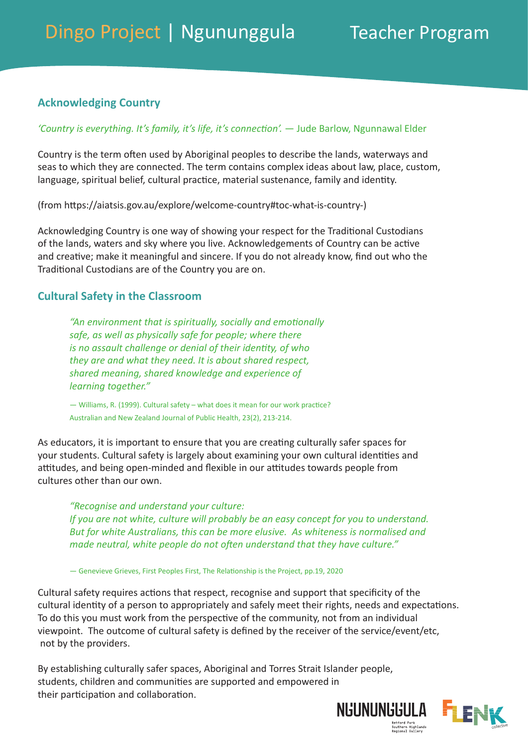# **Acknowledging Country**

#### *'Country is everything. It's family, it's life, it's connection'.* — Jude Barlow, Ngunnawal Elder

Country is the term often used by Aboriginal peoples to describe the lands, waterways and seas to which they are connected. The term contains complex ideas about law, place, custom, language, spiritual belief, cultural practice, material sustenance, family and identity.

(from [https://aiatsis.gov.au/explore/welcome-country#toc-what-is-country-\)](https://aiatsis.gov.au/explore/welcome-country#toc-what-is-country-)

Acknowledging Country is one way of showing your respect for the Traditional Custodians of the lands, waters and sky where you live. Acknowledgements of Country can be active and creative; make it meaningful and sincere. If you do not already know, find out who the Traditional Custodians are of the Country you are on.

### **Cultural Safety in the Classroom**

*"An environment that is spiritually, socially and emotionally safe, as well as physically safe for people; where there is no assault challenge or denial of their identity, of who they are and what they need. It is about shared respect, shared meaning, shared knowledge and experience of learning together."*

— Williams, R. (1999). Cultural safety – what does it mean for our work practice? Australian and New Zealand Journal of Public Health, 23(2), 213-214.

As educators, it is important to ensure that you are creating culturally safer spaces for your students. Cultural safety is largely about examining your own cultural identities and attitudes, and being open-minded and flexible in our attitudes towards people from cultures other than our own.

*"Recognise and understand your culture: If you are not white, culture will probably be an easy concept for you to understand. But for white Australians, this can be more elusive. As whiteness is normalised and made neutral, white people do not often understand that they have culture."* 

— Genevieve Grieves, First Peoples First, The Relationship is the Project, pp.19, 2020

Cultural safety requires actions that respect, recognise and support that specificity of the cultural identity of a person to appropriately and safely meet their rights, needs and expectations. To do this you must work from the perspective of the community, not from an individual viewpoint. The outcome of cultural safety is defined by the receiver of the service/event/etc, not by the providers.

By establishing culturally safer spaces, Aboriginal and Torres Strait Islander people, students, children and communities are supported and empowered in their participation and collaboration.

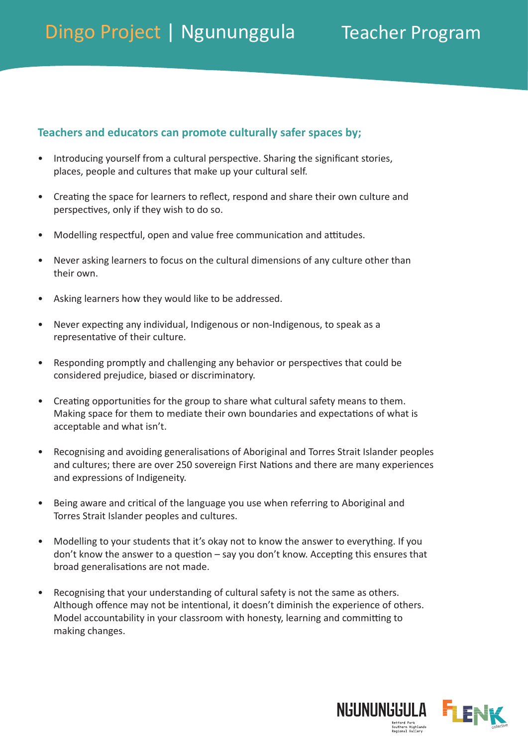## **Teachers and educators can promote culturally safer spaces by;**

- Introducing yourself from a cultural perspective. Sharing the significant stories, places, people and cultures that make up your cultural self.
- Creating the space for learners to reflect, respond and share their own culture and perspectives, only if they wish to do so.
- Modelling respectful, open and value free communication and attitudes.
- Never asking learners to focus on the cultural dimensions of any culture other than their own.
- Asking learners how they would like to be addressed.
- Never expecting any individual, Indigenous or non-Indigenous, to speak as a representative of their culture.
- Responding promptly and challenging any behavior or perspectives that could be considered prejudice, biased or discriminatory.
- Creating opportunities for the group to share what cultural safety means to them. Making space for them to mediate their own boundaries and expectations of what is acceptable and what isn't.
- Recognising and avoiding generalisations of Aboriginal and Torres Strait Islander peoples and cultures; there are over 250 sovereign First Nations and there are many experiences and expressions of Indigeneity.
- Being aware and critical of the language you use when referring to Aboriginal and Torres Strait Islander peoples and cultures.
- Modelling to your students that it's okay not to know the answer to everything. If you don't know the answer to a question – say you don't know. Accepting this ensures that broad generalisations are not made.
- Recognising that your understanding of cultural safety is not the same as others. Although offence may not be intentional, it doesn't diminish the experience of others. Model accountability in your classroom with honesty, learning and committing to making changes.

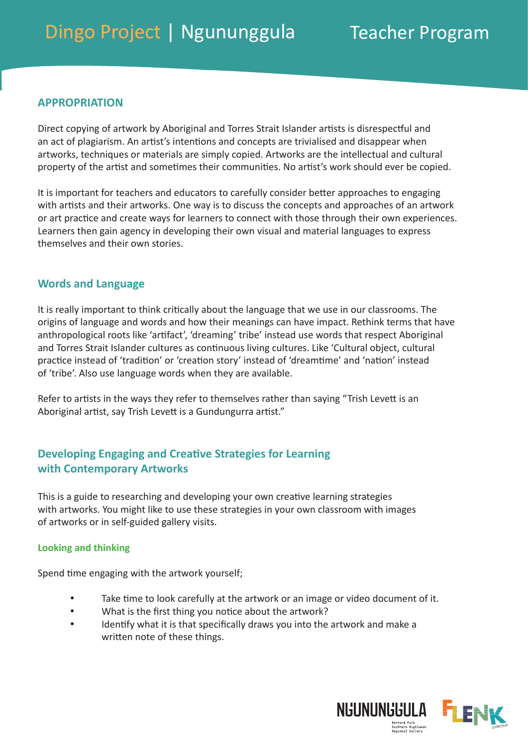### **APPROPRIATION**

Direct copying of artwork by Aboriginal and Torres Strait Islander artists is disrespectful and an act of plagiarism. An artist's intentions and concepts are trivialised and disappear when artworks, techniques or materials are simply copied. Artworks are the intellectual and cultural property of the artist and sometimes their communities. No artist's work should ever be copied.

It is important for teachers and educators to carefully consider better approaches to engaging with artists and their artworks. One way is to discuss the concepts and approaches of an artwork or art practice and create ways for learners to connect with those through their own experiences. Learners then gain agency in developing their own visual and material languages to express themselves and their own stories.

### **Words and Language**

It is really important to think critically about the language that we use in our classrooms. The origins of language and words and how their meanings can have impact. Rethink terms that have anthropological roots like 'artifact', 'dreaming' tribe' instead use words that respect Aboriginal and Torres Strait Islander cultures as continuous living cultures. Like 'Cultural object, cultural practice instead of 'tradition' or 'creation story' instead of 'dreamtime' and 'nation' instead of 'tribe'. Also use language words when they are available.

Refer to artists in the ways they refer to themselves rather than saying "Trish Levett is an Aboriginal artist, say Trish Levett is a Gundungurra artist."

## **Developing Engaging and Creative Strategies for Learning with Contemporary Artworks**

This is a guide to researching and developing your own creative learning strategies with artworks. You might like to use these strategies in your own classroom with images of artworks or in self-guided gallery visits.

#### **Looking and thinking**

Spend time engaging with the artwork yourself;

- Take time to look carefully at the artwork or an image or video document of it.
- What is the first thing you notice about the artwork?
- Identify what it is that specifically draws you into the artwork and make a written note of these things.

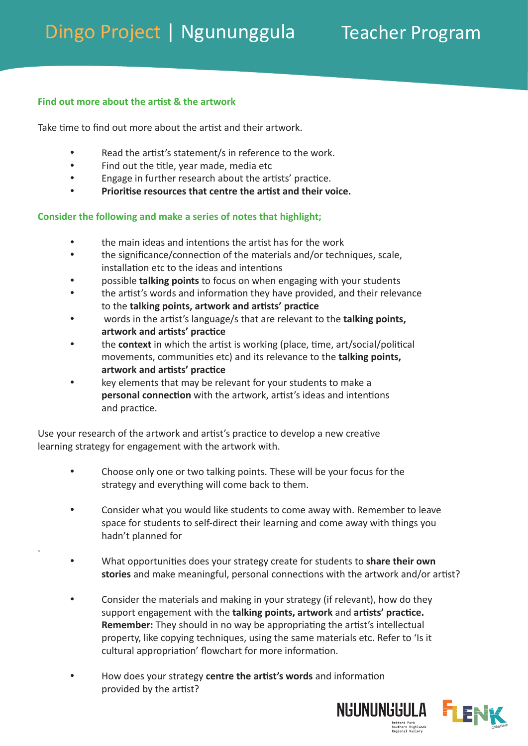### **Find out more about the artist & the artwork**

.

Take time to find out more about the artist and their artwork.

- Read the artist's statement/s in reference to the work.
- Find out the title, year made, media etc
- Engage in further research about the artists' practice.
- **Prioritise resources that centre the artist and their voice.**

### **Consider the following and make a series of notes that highlight;**

- the main ideas and intentions the artist has for the work
- the significance/connection of the materials and/or techniques, scale, installation etc to the ideas and intentions
- possible **talking points** to focus on when engaging with your students
- the artist's words and information they have provided, and their relevance to the **talking points, artwork and artists' practice**
- words in the artist's language/s that are relevant to the **talking points, artwork and artists' practice**
- the **context** in which the artist is working (place, time, art/social/political movements, communities etc) and its relevance to the **talking points, artwork and artists' practice**
- key elements that may be relevant for your students to make a **personal connection** with the artwork, artist's ideas and intentions and practice.

Use your research of the artwork and artist's practice to develop a new creative learning strategy for engagement with the artwork with.

- Choose only one or two talking points. These will be your focus for the strategy and everything will come back to them.
- Consider what you would like students to come away with. Remember to leave space for students to self-direct their learning and come away with things you hadn't planned for
- What opportunities does your strategy create for students to **share their own stories** and make meaningful, personal connections with the artwork and/or artist?
- Consider the materials and making in your strategy (if relevant), how do they support engagement with the **talking points, artwork** and **artists' practice. Remember:** They should in no way be appropriating the artist's intellectual property, like copying techniques, using the same materials etc. Refer to 'Is it cultural appropriation' flowchart for more information.
- How does your strategy **centre the artist's words** and information provided by the artist?